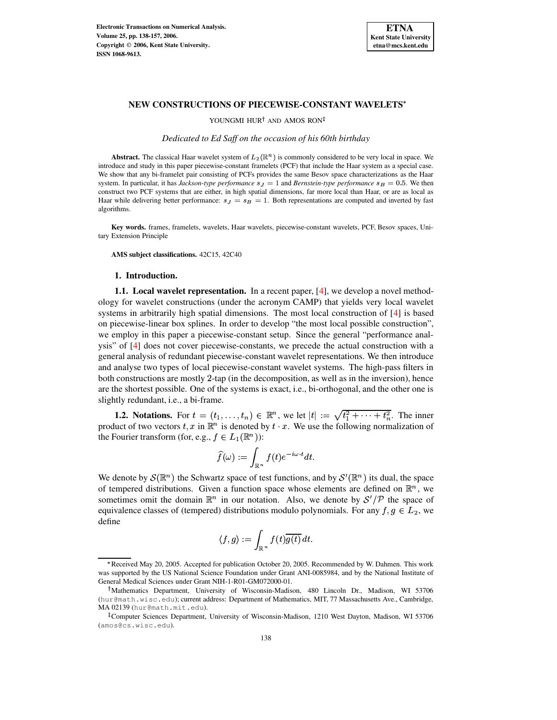

YOUNGMI HUR<sup>†</sup> AND AMOS RON

*Dedicated to Ed Saff on the occasion of his 60th birthday*

**Abstract.** The classical Haar wavelet system of  $L_2(\mathbb{R}^n)$  is commonly considered to be very local in space. We introduce and study in this paper piecewise-constant framelets (PCF) that include the Haar system as a special case. We show that any bi-framelet pair consisting of PCFs provides the same Besov space characterizations as the Haar system. In particular, it has *Jackson-type performance*  $s<sub>J</sub> = 1$  and *Bernstein-type performance*  $s<sub>B</sub> = 0.5$ . We then construct two PCF systems that are either, in high spatial dimensions, far more local than Haar, or are as local as Haar while delivering better performance:  $s<sub>J</sub> = s<sub>B</sub> = 1$ . Both representations are computed and inverted by fast algorithms.

**Key words.** frames, framelets, wavelets, Haar wavelets, piecewise-constant wavelets, PCF, Besov spaces, Unitary Extension Principle

**AMS subject classifications.** 42C15, 42C40

## **1. Introduction.**

**1.1. Local wavelet representation.** In a recent paper, [\[4\]](#page-19-0), we develop a novel methodology for wavelet constructions (under the acronym CAMP) that yields very local wavelet systems in arbitrarily high spatial dimensions. The most local construction of [\[4\]](#page-19-0) is based on piecewise-linear box splines. In order to develop "the most local possible construction", we employ in this paper a piecewise-constant setup. Since the general "performance analysis" of [\[4\]](#page-19-0) does not cover piecewise-constants, we precede the actual construction with a general analysis of redundant piecewise-constant wavelet representations. We then introduce and analyse two types of local piecewise-constant wavelet systems. The high-pass filters in both constructions are mostly 2-tap (in the decomposition, as well as in the inversion), hence are the shortest possible. One of the systems is exact, i.e., bi-orthogonal, and the other one is slightly redundant, i.e., a bi-frame.

**1.2. Notations.** For  $t = (t_1, \ldots, t_n) \in \mathbb{R}^n$ , we let  $|t| := \sqrt{t_1^2 + \cdots + t_n^2}$ . The inner product of two vectors  $t, x$  in  $\mathbb{R}^n$  is denoted by  $t \cdot x$ . We use the following normalization of the Fourier transform (for, e.g.,  $f \in L_1(\mathbb{R}^n)$ ):

$$
\widehat{f}(\omega):=\int_{\mathbb{R}^n}f(t)e^{-i\omega\cdot t}dt.
$$

We denote by  $\mathcal{S}(\mathbb{R}^n)$  the Schwartz space of test functions, and by  $\mathcal{S}'(\mathbb{R}^n)$  its dual, the space of tempered distributions. Given a function space whose elements are defined on  $\mathbb{R}^n$ , we sometimes omit the domain  $\mathbb{R}^n$  in our notation. Also, we denote by  $S'/\mathcal{P}$  the space of equivalence classes of (tempered) distributions modulo polynomials. For any  $f, g \in L_2$ , we define

$$
\langle f,g\rangle:=\int_{\mathbb{R}^n}f(t)\overline{g(t)}\,dt.
$$

<sup>n</sup> Received May 20, 2005. Accepted for publication October 20, 2005. Recommended by W. Dahmen. This work was supported by the US National Science Foundation under Grant ANI-0085984, and by the National Institute of General Medical Sciences under Grant NIH-1-R01-GM072000-01.

Mathematics Department, University of Wisconsin-Madison, 480 Lincoln Dr., Madison, WI 53706 (hur@math.wisc.edu); current address: Department of Mathematics, MIT, 77 Massachusetts Ave., Cambridge, MA 02139 (hur@math.mit.edu).

<sup>&</sup>lt;sup>‡</sup>Computer Sciences Department, University of Wisconsin-Madison, 1210 West Dayton, Madison, WI 53706 (amos@cs.wisc.edu).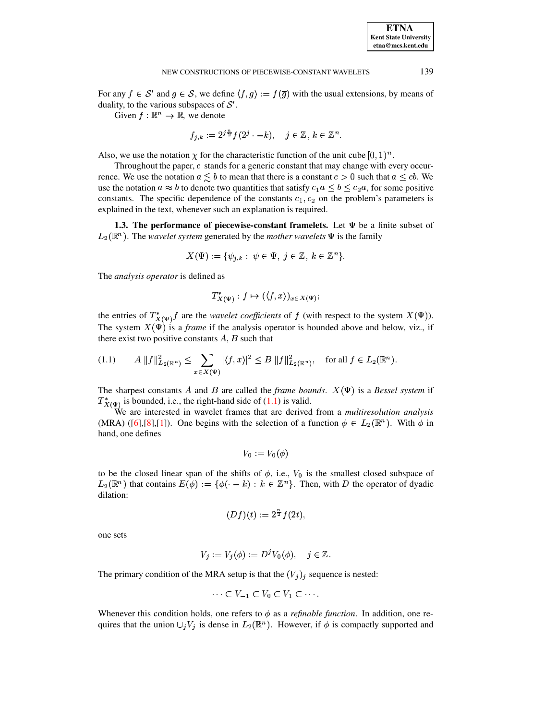For any  $f \in S'$  and  $g \in S$ , we define  $\langle f, g \rangle := f(\overline{g})$  with the usual extensions, by means of duality, to the various subspaces of  $S'$ .

Given  $f : \mathbb{R}^n \to \mathbb{R}$ , we denote

$$
f_{j,k} := 2^{j\frac{n}{2}} f(2^j \cdot -k), \quad j \in \mathbb{Z}, k \in \mathbb{Z}^n.
$$

Also, we use the notation  $\chi$  for the characteristic function of the unit cube  $[0,1)^n$ .

Throughout the paper,  $c$  stands for a generic constant that may change with every occurrence. We use the notation  $a \leq b$  to mean that there is a constant  $c > 0$  such that  $a \leq cb$ . We use the notation  $a \approx b$  to denote two quantities that satisfy  $c_1 a \leq b \leq c_2 a$ , for some positive constants. The specific dependence of the constants  $c_1, c_2$  on the problem's parameters is explained in the text, whenever such an explanation is required.

**1.3.** The performance of piecewise-constant framelets. Let  $\Psi$  be a finite subset of  $L_2(\mathbb{R}^n)$ . The *wavelet system* generated by the *mother wavelets*  $\Psi$  is the family

$$
X(\Psi) := \{ \psi_{j,k} : \psi \in \Psi, \ j \in \mathbb{Z}, \ k \in \mathbb{Z}^n \}.
$$

The *analysis operator* is defined as

$$
T^*_{X(\Psi)}: f \mapsto (\langle f, x \rangle)_{x \in X(\Psi)};
$$

the entries of  $T^*_{X(\Psi)} f$  are the *wavelet coefficients* of f (with respect to the system  $X(\Psi)$ ). The system  $X(\Psi)$  is a *frame* if the analysis operator is bounded above and below, viz., if there exist two positive constants  $A, B$  such that

<span id="page-1-0"></span>
$$
(1.1) \t A \|f\|_{L_2(\mathbb{R}^n)}^2 \le \sum_{x \in X(\Psi)} |\langle f, x \rangle|^2 \le B \|f\|_{L_2(\mathbb{R}^n)}^2, \text{ for all } f \in L_2(\mathbb{R}^n).
$$

The sharpest constants A and B are called the *frame bounds*.  $X(\Psi)$  is a Bessel system if  $T^*_{X(\Psi)}$  is bounded, i.e., the right-hand side of [\(1.1\)](#page-1-0) is valid.

We are interested in wavelet frames that are derived from a *multiresolution analysis* (MRA) ([\[6\]](#page-19-1),[\[8\]](#page-19-2),[\[1\]](#page-19-3)). One begins with the selection of a function  $\phi \in L_2(\mathbb{R}^n)$ . With  $\phi$  in hand, one defines

$$
V_0 := V_0(\phi)
$$

to be the closed linear span of the shifts of  $\phi$ , i.e.,  $V_0$  is the smallest closed subspace of  $L_2(\mathbb{R}^n)$  that contains  $E(\phi) := \{ \phi(\cdot - k) : k \in \mathbb{Z}^n \}$ . Then, with D the operator of dyadic <sup>&</sup>lt; dilation:

$$
(Df)(t) := 2^{\frac{n}{2}}f(2t),
$$

one sets

$$
V_j := V_j(\phi) := D^j V_0(\phi), \quad j \in \mathbb{Z}.
$$

The primary condition of the MRA setup is that the  $(V_j)_j$  sequence is nested:<br> $\cdots \subset V_{-1} \subset V_0 \subset V_1 \subset \cdots$ 

$$
\cdots \subset V_{-1} \subset V_0 \subset V_1 \subset \cdots.
$$

Whenever this condition holds, one refers to  $\phi$  as a *refinable function*. In addition, one re-Whenever this condition holds, one refers to  $\phi$  as a *refinable function*. In addition, one re-<br>quires that the union  $\bigcup_j V_j$  is dense in  $L_2(\mathbb{R}^n)$ . However, if  $\phi$  is compactly supported and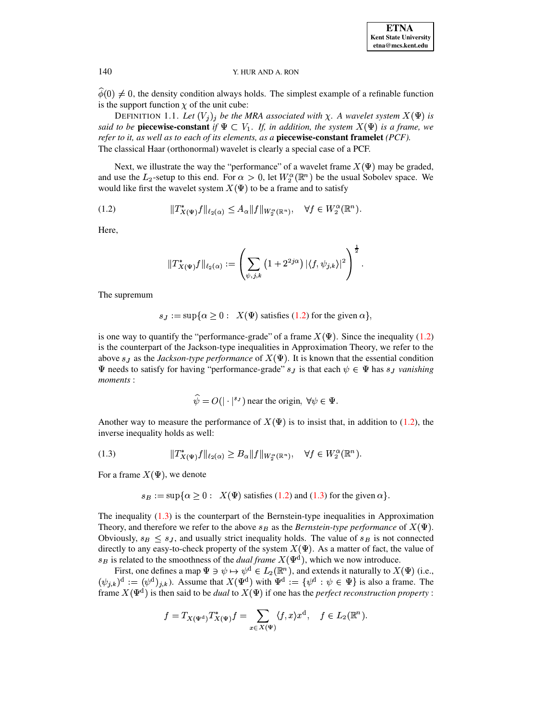$\hat{\phi}(0) \neq 0$ , the density condition always holds. The simplest example of a refinable function is the support function  $\chi$  of the unit cube:

DEFINITION 1.1. Let  $(V_j)_j$  be the MRA associated with  $\chi$ . A wavelet system  $X(\Psi)$  is said to be **piecewise-constant** if  $\Psi \subset V_1$ . If, in addition, the system  $X(\Psi)$  is a frame, we refer to it, as well as to each of its elements, as a piecewise-constant framelet (PCF). The classical Haar (orthonormal) wavelet is clearly a special case of a PCF.

Next, we illustrate the way the "performance" of a wavelet frame  $X(\Psi)$  may be graded, and use the  $L_2$ -setup to this end. For  $\alpha > 0$ , let  $W_2^{\alpha}(\mathbb{R}^n)$  be the usual Sobolev space. We would like first the wavelet system  $X(\Psi)$  to be a frame and to satisfy

<span id="page-2-0"></span>

Here,

$$
\|T_{X(\Psi)}^*f\|_{\ell_2(\alpha)}:=\left(\sum_{\psi,j,k}\left(1+2^{2j\alpha}\right)|\langle f,\psi_{j,k}\rangle|^2\right)^{\frac{1}{2}}.
$$

The supremum

$$
s_J := \sup \{ \alpha \geq 0 : X(\Psi) \text{ satisfies (1.2) for the given } \alpha \}
$$

is one way to quantify the "performance-grade" of a frame  $X(\Psi)$ . Since the inequality (1.2) is the counterpart of the Jackson-type inequalities in Approximation Theory, we refer to the above  $s_J$  as the *Jackson-type performance* of  $X(\Psi)$ . It is known that the essential condition  $\Psi$  needs to satisfy for having "performance-grade"  $s_J$  is that each  $\psi \in \Psi$  has  $s_J$  vanishing moments:

$$
\hat{\psi} = O(|\cdot|^{s})
$$
 near the origin,  $\forall \psi \in \Psi$ .

Another way to measure the performance of  $X(\Psi)$  is to insist that, in addition to (1.2), the inverse inequality holds as well:

<span id="page-2-1"></span>

For a frame  $X(\Psi)$ , we denote

$$
s_B := \sup \{ \alpha \geq 0 : X(\Psi) \text{ satisfies (1.2) and (1.3) for the given } \alpha \}.
$$

The inequality  $(1.3)$  is the counterpart of the Bernstein-type inequalities in Approximation Theory, and therefore we refer to the above  $s_B$  as the *Bernstein-type performance* of  $X(\Psi)$ . Obviously,  $s_B \leq s_J$ , and usually strict inequality holds. The value of  $s_B$  is not connected directly to any easy-to-check property of the system  $X(\Psi)$ . As a matter of fact, the value of  $s_B$  is related to the smoothness of the *dual frame*  $X(\Psi^d)$ , which we now introduce.

First, one defines a map  $\Psi \ni \psi \mapsto \psi^d \in L_2(\mathbb{R}^n)$ , and extends it naturally to  $X(\Psi)$  (i.e.,  $(\psi_{j,k})^d := (\psi^d)_{j,k}$ . Assume that  $X(\Psi^d)$  with  $\Psi^d := {\psi^d : \psi \in \Psi}$  is also a frame. The frame  $X(\Psi^d)$  is then said to be *dual* to  $X(\Psi)$  if one has the *perfect reconstruction property*:

$$
f = T_{X(\Psi^d)} T_{X(\Psi)}^* f = \sum_{x \in X(\Psi)} \langle f, x \rangle x^d, \quad f \in L_2(\mathbb{R}^n).
$$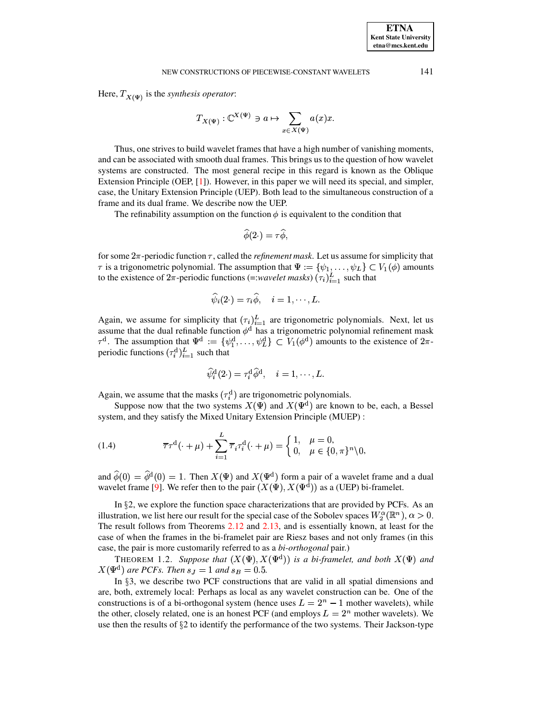Here,  $T_{X(\Psi)}$  is the synthesis operator:

$$
T_{X(\Psi)} : \mathbb{C}^{X(\Psi)} \ni a \mapsto \sum_{x \in X(\Psi)} a(x)x.
$$

Thus, one strives to build wavelet frames that have a high number of vanishing moments, and can be associated with smooth dual frames. This brings us to the question of how wavelet systems are constructed. The most general recipe in this regard is known as the Oblique Extension Principle (OEP,  $[1]$ ). However, in this paper we will need its special, and simpler, case, the Unitary Extension Principle (UEP). Both lead to the simultaneous construction of a frame and its dual frame. We describe now the UEP.

The refinability assumption on the function  $\phi$  is equivalent to the condition that

$$
\widehat{\phi}(2\cdot)=\tau\widehat{\phi},
$$

for some  $2\pi$ -periodic function  $\tau$ , called the *refinement mask*. Let us assume for simplicity that  $\tau$  is a trigonometric polynomial. The assumption that  $\Psi := {\psi_1, \dots, \psi_L} \subset V_1(\phi)$  amounts to the existence of  $2\pi$ -periodic functions (=:*wavelet masks*) ( $\tau_i$ )<sup>L</sup><sub>i=1</sub> such that

$$
\widehat{\psi}_i(2\ \ ) = \tau_i \widehat{\phi}, \quad i=1,\cdots,L.
$$

Again, we assume for simplicity that  $(\tau_i)_{i=1}^L$  are trigonometric polynomials. Next, let us assume that the dual refinable function  $\phi^d$  has a trigonometric polynomial refinement mask  $\tau^d$ . The assumption that  $\Psi^d := \{\psi_1^d, \ldots, \psi_L^d\} \subset V_1(\phi^d)$  amounts to the existence of  $2\pi$ periodic functions  $(\tau_i^d)_{i=1}^L$  such that

$$
\widehat{\psi}^{\rm d}_i(2\cdot)=\tau^{\rm d}_i\widehat{\phi}^{\rm d},\quad i=1,\cdots,L.
$$

Again, we assume that the masks  $(\tau_i^d)$  are trigonometric polynomials.

Suppose now that the two systems  $X(\Psi)$  and  $X(\Psi^d)$  are known to be, each, a Bessel system, and they satisfy the Mixed Unitary Extension Principle (MUEP):

<span id="page-3-0"></span>(1.4) 
$$
\overline{\tau}\tau^{d}(\cdot+\mu)+\sum_{i=1}^{L}\overline{\tau}_{i}\tau_{i}^{d}(\cdot+\mu)=\begin{cases}1, & \mu=0,\\0, & \mu\in\{0,\pi\}^{n}\setminus0\end{cases}
$$

and  $\hat{\phi}(0) = \hat{\phi}^d(0) = 1$ . Then  $X(\Psi)$  and  $X(\Psi^d)$  form a pair of a wavelet frame and a dual wavelet frame [9]. We refer then to the pair  $(X(\Psi), X(\Psi^d))$  as a (UEP) bi-framelet.

In §2, we explore the function space characterizations that are provided by PCFs. As an illustration, we list here our result for the special case of the Sobolev spaces  $W_2^{\alpha}(\mathbb{R}^n)$ ,  $\alpha > 0$ . The result follows from Theorems  $2.12$  and  $2.13$ , and is essentially known, at least for the case of when the frames in the bi-framelet pair are Riesz bases and not only frames (in this case, the pair is more customarily referred to as a bi-orthogonal pair.)

THEOREM 1.2. Suppose that  $(X(\Psi), X(\Psi^d))$  is a bi-framelet, and both  $X(\Psi)$  and  $X(\Psi^d)$  are PCFs. Then  $s_J = 1$  and  $s_B = 0.5$ .

In §3, we describe two PCF constructions that are valid in all spatial dimensions and are, both, extremely local: Perhaps as local as any wavelet construction can be. One of the constructions is of a bi-orthogonal system (hence uses  $L = 2<sup>n</sup> - 1$  mother wavelets), while the other, closely related, one is an honest PCF (and employs  $L = 2<sup>n</sup>$  mother wavelets). We use then the results of  $\S$ 2 to identify the performance of the two systems. Their Jackson-type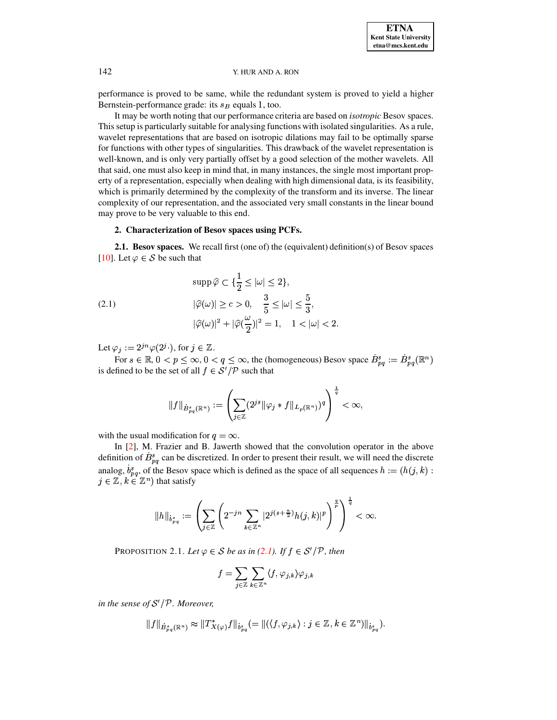performance is proved to be same, while the redundant system is proved to yield a higher Bernstein-performance grade: its  $s_B$  equals 1, too.

It may be worth noting that our performance criteria are based on *isotropic* Besov spaces. This setup is particularly suitable for analysing functions with isolated singularities. As a rule, wavelet representations that are based on isotropic dilations may fail to be optimally sparse for functions with other types of singularities. This drawback of the wavelet representation is well-known, and is only very partially offset by a good selection of the mother wavelets. All that said, one must also keep in mind that, in many instances, the single most important property of a representation, especially when dealing with high dimensional data, is its feasibility, which is primarily determined by the complexity of the transform and its inverse. The linear complexity of our representation, and the associated very small constants in the linear bound may prove to be very valuable to this end.

# 2. Characterization of Besov spaces using PCFs.

**2.1. Besov spaces.** We recall first (one of) the (equivalent) definition(s) of Besov spaces [10]. Let  $\varphi \in \mathcal{S}$  be such that

<span id="page-4-0"></span>(2.1)  
\n
$$
\sup \widehat{\varphi} \subset \{\frac{1}{2} \le |\omega| \le 2\},
$$
\n
$$
|\widehat{\varphi}(\omega)| \ge c > 0, \quad \frac{3}{5} \le |\omega| \le \frac{5}{3},
$$
\n
$$
|\widehat{\varphi}(\omega)|^2 + |\widehat{\varphi}(\frac{\omega}{2})|^2 = 1, \quad 1 < |\omega| < 2
$$

Let  $\varphi_j := 2^{jn} \varphi(2^j \cdot)$ , for  $j \in \mathbb{Z}$ .

For  $s \in \mathbb{R}$ ,  $0 < p \le \infty$ ,  $0 < q \le \infty$ , the (homogeneous) Besov space  $B_{pq}^s := B_{pq}^s(\mathbb{R}^n)$ is defined to be the set of all  $f \in \mathcal{S}'/\mathcal{P}$  such that

$$
||f||_{\dot{B}_{pq}^s(\mathbb{R}^n)} := \left(\sum_{j\in\mathbb{Z}} (2^{js} || \varphi_j * f||_{L_p(\mathbb{R}^n)})^q\right)^{\frac{1}{q}} < \infty,
$$

with the usual modification for  $q = \infty$ .

In [2], M. Frazier and B. Jawerth showed that the convolution operator in the above definition of  $B_{pq}^s$  can be discretized. In order to present their result, we will need the discrete analog,  $b_{pq}^s$ , of the Besov space which is defined as the space of all sequences  $h := (h(j, k))$ :  $j \in \mathbb{Z}, k \in \mathbb{Z}^n$  that satisfy

$$
\|h\|_{\dot{b}^s_{pq}}:=\left(\sum_{j\in\mathbb{Z}}\left(2^{-jn}\sum_{k\in\mathbb{Z}^n}|2^{j(s+\frac{n}{2})}h(j,k)|^p\right)^{\frac{q}{p}}\right)^{\frac{1}{q}}<\infty.
$$

<span id="page-4-1"></span>PROPOSITION 2.1. Let  $\varphi \in S$  be as in (2.1). If  $f \in S'/P$ , then

$$
f = \sum_{j \in \mathbb{Z}} \sum_{k \in \mathbb{Z}^n} \langle f, \varphi_{j,k} \rangle \varphi_{j,k}
$$

in the sense of  $S'/P$ . Moreover,

$$
\|f\|_{\dot{B}^s_{pq}(\mathbb{R}^n)} \approx \|T^*_{X(\varphi)}f\|_{\dot{b}^s_{pq}} (= \|(\langle f, \varphi_{j,k}\rangle : j\in \mathbb{Z}, k\in \mathbb{Z}^n)\|_{\dot{b}^s_{pq}}).
$$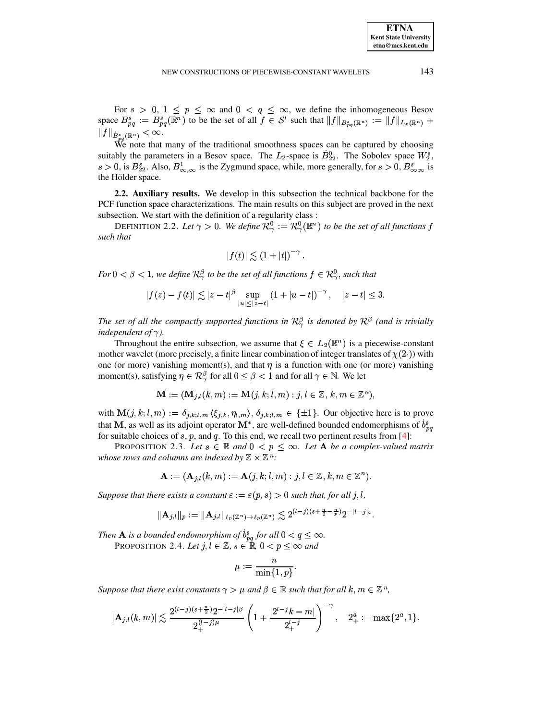For  $s > 0$ ,  $1 \le p \le \infty$  and  $0 < q \le \infty$ , we define the inhomogeneous Besov space  $B_{pq}^s := B_{pq}^s(\mathbb{R}^n)$  to be the set of all  $f \in S'$  such that  $||f||_{B_{pq}^s(\mathbb{R}^n)} := ||f||_{L_p(\mathbb{R}^n)} +$  $||f||_{\dot{B}^s_{na}(\mathbb{R}^n)} < \infty.$ 

We note that many of the traditional smoothness spaces can be captured by choosing suitably the parameters in a Besov space. The  $L_2$ -space is  $B_{22}^0$ . The Sobolev space  $W_2^s$ ,  $s > 0$ , is  $B_{22}^s$ . Also,  $B_{\infty,\infty}^1$  is the Zygmund space, while, more generally, for  $s > 0$ ,  $B_{\infty,\infty}^s$  is the Hölder space.

2.2. Auxiliary results. We develop in this subsection the technical backbone for the PCF function space characterizations. The main results on this subject are proved in the next subsection. We start with the definition of a regularity class :

DEFINITION 2.2. Let  $\gamma > 0$ . We define  $\mathcal{R}^0_{\gamma} := \mathcal{R}^0_{\gamma}(\mathbb{R}^n)$  to be the set of all functions f such that

$$
|f(t)| \lesssim (1+|t|)^{-\gamma}.
$$

For  $0 < \beta < 1$ , we define  $\mathcal{R}_{\gamma}^{\beta}$  to be the set of all functions  $f \in \mathcal{R}_{\gamma}^0$ , such that

$$
|f(z) - f(t)| \lesssim |z - t|^{\beta} \sup_{|u| \le |z - t|} (1 + |u - t|)^{-\gamma}, \quad |z - t| \le 3.
$$

The set of all the compactly supported functions in  $\mathcal{R}^{\beta}_{\gamma}$  is denoted by  $\mathcal{R}^{\beta}$  (and is trivially independent of  $\gamma$ ).

Throughout the entire subsection, we assume that  $\xi \in L_2(\mathbb{R}^n)$  is a piecewise-constant mother wavelet (more precisely, a finite linear combination of integer translates of  $\chi(2)$ ) with one (or more) vanishing moment(s), and that  $\eta$  is a function with one (or more) vanishing moment(s), satisfying  $\eta \in \mathcal{R}_{\gamma}^{\beta}$  for all  $0 \leq \beta < 1$  and for all  $\gamma \in \mathbb{N}$ . We let

$$
\mathbf{M} := (\mathbf{M}_{j,l}(k,m) := \mathbf{M}(j,k;l,m) : j,l \in \mathbb{Z}, k,m \in \mathbb{Z}^n),
$$

with  $\mathbf{M}(j,k;l,m) := \delta_{j,k;l,m} \langle \xi_{j,k}, \eta_{l,m} \rangle, \delta_{j,k;l,m} \in \{\pm 1\}.$  Our objective here is to prove that M, as well as its adjoint operator  $M^*$ , are well-defined bounded endomorphisms of  $b_{na}^s$ for suitable choices of  $s$ ,  $p$ , and  $q$ . To this end, we recall two pertinent results from [4]:

<span id="page-5-1"></span>PROPOSITION 2.3. Let  $s \in \mathbb{R}$  and  $0 < p \leq \infty$ . Let **A** be a complex-valued matrix whose rows and columns are indexed by  $\mathbb{Z} \times \mathbb{Z}^n$ :

$$
\mathbf{A} := (\mathbf{A}_{j,l}(k,m) := \mathbf{A}(j,k;l,m) : j,l \in \mathbb{Z}, k,m \in \mathbb{Z}^n).
$$

Suppose that there exists a constant  $\varepsilon := \varepsilon(p, s) > 0$  such that, for all j, l,

$$
\|\mathbf{A}_{j,l}\|_{p} := \|\mathbf{A}_{j,l}\|_{\ell_p(\mathbb{Z}^n)\to\ell_p(\mathbb{Z}^n)} \lesssim 2^{(l-j)(s+\frac{n}{2}-\frac{n}{p})} 2^{-|l-j|\varepsilon|}
$$

Then **A** is a bounded endomorphism of  $\dot{b}_{pq}^s$  for all  $0 < q \leq \infty$ .

PROPOSITION 2.4. Let  $j, l \in \mathbb{Z}$ ,  $s \in \mathbb{R}$ ,  $0 < p \le \infty$  and

<span id="page-5-0"></span>
$$
\mu:=\frac{n}{\min\{1,p\}}.
$$

Suppose that there exist constants  $\gamma > \mu$  and  $\beta \in \mathbb{R}$  such that for all  $k, m \in \mathbb{Z}^n$ ,

$$
|\mathbf{A}_{j,l}(k,m)| \lesssim \frac{2^{(l-j)(s+\frac{n}{2})}2^{-|l-j|\beta}}{2^{(l-j)\mu}_+} \left(1 + \frac{|2^{l-j}k-m|}{2^{l-j}_+}\right)^{-\gamma}, \quad 2^a_+ := \max\{2^a, 1\}.
$$

143

**ETNA Kent State University** etna@mcs.kent.edu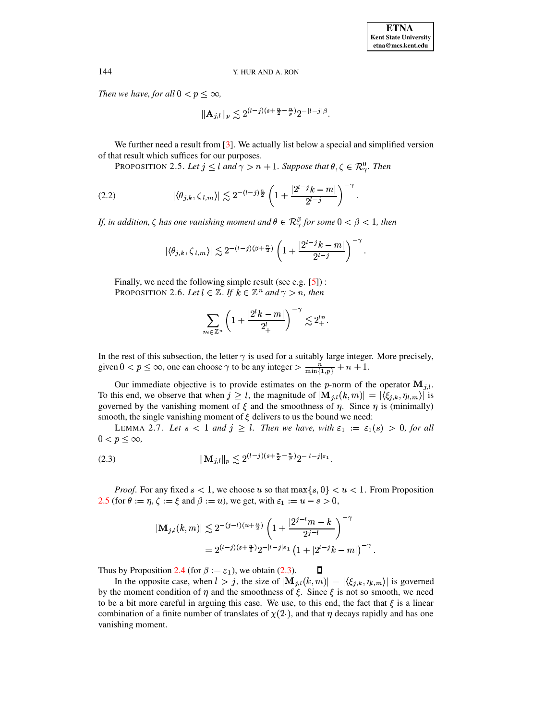Then we have, for all  $0 < p \leq \infty$ ,

<span id="page-6-0"></span>
$$
\|\mathbf{A}_{j,l}\|_p \lesssim 2^{(l-j)(s+\frac{n}{2}-\frac{n}{p})} 2^{-|l-j|\beta}.
$$

We further need a result from  $\lceil 3 \rceil$ . We actually list below a special and simplified version of that result which suffices for our purposes.

PROPOSITION 2.5. Let  $j \leq l$  and  $\gamma > n + 1$ . Suppose that  $\theta, \zeta \in \mathcal{R}_{\gamma}^0$ . Then

<span id="page-6-2"></span>(2.2) 
$$
|\langle \theta_{j,k}, \zeta_{l,m} \rangle| \lesssim 2^{-(l-j)\frac{n}{2}} \left(1 + \frac{|2^{l-j}k - m|}{2^{l-j}}\right)^{-\gamma}
$$

If, in addition,  $\zeta$  has one vanishing moment and  $\theta \in \mathcal{R}^{\beta}_{\gamma}$  for some  $0 < \beta < 1$ , then

$$
|\langle \theta_{j,k}, \zeta_{l,m} \rangle| \lesssim 2^{-(l-j)(\beta + \frac{n}{2})} \left(1 + \frac{|2^{l-j}k-m|}{2^{l-j}}\right)^{-\gamma}.
$$

Finally, we need the following simple result (see e.g.  $[5]$ ): PROPOSITION 2.6. Let  $l \in \mathbb{Z}$ . If  $k \in \mathbb{Z}^n$  and  $\gamma > n$ , then

$$
\sum_{m\in\mathbb{Z}^n} \left(1 + \frac{|2^lk - m|}{2^l_+}\right)^{-\gamma} \lesssim 2^{ln}_+.
$$

In the rest of this subsection, the letter  $\gamma$  is used for a suitably large integer. More precisely, given  $0 < p \le \infty$ , one can choose  $\gamma$  to be any integer  $> \frac{n}{\min\{1,p\}} + n + 1$ .

Our immediate objective is to provide estimates on the p-norm of the operator  $M_{j,l}$ . To this end, we observe that when  $j \geq l$ , the magnitude of  $|\mathbf{M}_{j,l}(k,m)| = |\langle \xi_{j,k}, \eta_{l,m} \rangle|$  is governed by the vanishing moment of  $\xi$  and the smoothness of  $\eta$ . Since  $\eta$  is (minimally) smooth, the single vanishing moment of  $\xi$  delivers to us the bound we need:

LEMMA 2.7. Let  $s < 1$  and  $j \geq l$ . Then we have, with  $\varepsilon_1 := \varepsilon_1(s) > 0$ , for all  $0 < p \leq \infty$ ,

<span id="page-6-1"></span>
$$
\|\mathbf{M}_{j,l}\|_{p} \le 2^{(l-j)(s+\frac{n}{2}-\frac{n}{p})}2^{-|l-j|\varepsilon_{1}}.
$$

*Proof.* For any fixed  $s < 1$ , we choose u so that  $\max\{s, 0\} < u < 1$ . From Proposition 2.5 (for  $\theta := \eta$ ,  $\zeta := \xi$  and  $\beta := u$ ), we get, with  $\varepsilon_1 := u - s > 0$ ,

$$
|\mathbf{M}_{j,l}(k,m)| \lesssim 2^{-(j-l)(u+\frac{n}{2})} \left(1 + \frac{|2^{j-l}m - k|}{2^{j-l}}\right)^{-\gamma}
$$
  
=  $2^{(l-j)(s+\frac{n}{2})} 2^{-|l-j|\varepsilon_1} (1 + |2^{l-j}k - m|)^{-\gamma}$ 

Thus by Proposition 2.4 (for  $\beta := \varepsilon_1$ ), we obtain (2.3).

<span id="page-6-3"></span>In the opposite case, when  $l > j$ , the size of  $|\mathbf{M}_{j,l}(k,m)| = |\langle \xi_{j,k}, \eta_{l,m} \rangle|$  is governed by the moment condition of  $\eta$  and the smoothness of  $\xi$ . Since  $\xi$  is not so smooth, we need to be a bit more careful in arguing this case. We use, to this end, the fact that  $\xi$  is a linear combination of a finite number of translates of  $\chi(2)$ , and that  $\eta$  decays rapidly and has one vanishing moment.

 $\Box$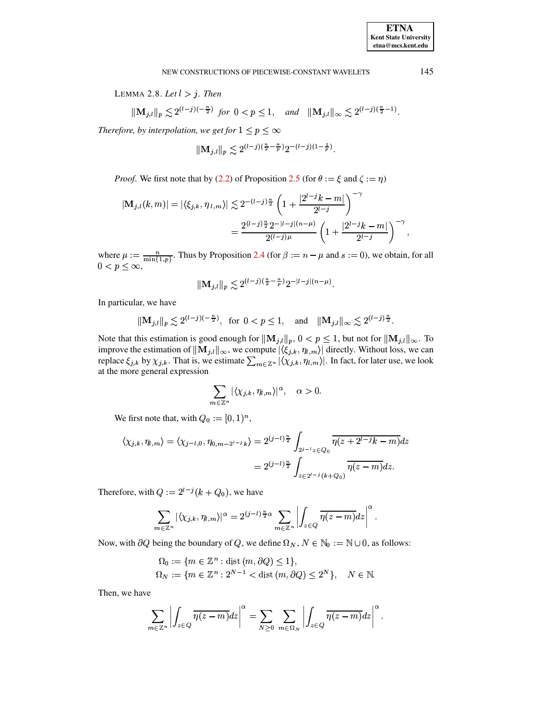LEMMA 2.8. Let  $l > j$ . Then

$$
\|\mathbf{M}_{j,l}\|_p \lesssim 2^{(l-j)(-\frac{n}{2})} \text{ for } 0 < p \le 1, \quad \text{and} \quad \|\mathbf{M}_{j,l}\|_{\infty} \lesssim 2^{(l-j)(\frac{n}{2}-1)}.
$$

Therefore, by interpolation, we get for  $1 \le p \le \infty$ 

$$
\|{\mathbf M}_{j,l}\|_p \lesssim 2^{(l-j)(\frac{n}{2}-\frac{n}{p})}2^{-(l-j)(1-\frac{1}{p})}.
$$

*Proof.* We first note that by (2.2) of Proposition 2.5 (for  $\theta := \xi$  and  $\zeta := \eta$ )

$$
|\mathbf{M}_{j,l}(k,m)| = |\langle \xi_{j,k}, \eta_{l,m} \rangle| \lesssim 2^{-(l-j)\frac{n}{2}} \left(1 + \frac{|2^{l-j}k-m|}{2^{l-j}}\right)^{-\gamma}
$$
  
= 
$$
\frac{2^{(l-j)\frac{n}{2}}2^{-|l-j|(n-\mu)}}{2^{(l-j)\mu}} \left(1 + \frac{|2^{l-j}k-m|}{2^{l-j}}\right)^{-\gamma},
$$

where  $\mu := \frac{n}{\min\{1,p\}}$ . Thus by Proposition 2.4 (for  $\beta := n - \mu$  and  $s := 0$ ), we obtain, for all  $0 < p \leq \infty$ ,

$$
\|\mathbf{M}_{j,l}\|_p \lesssim 2^{(l-j)(\frac{n}{2}-\frac{n}{p})} 2^{-|l-j|(n-\mu)}
$$

In particular, we have

$$
|\mathbf{M}_{j,l}||_p \lesssim 2^{(l-j)(-\frac{n}{2})}
$$
, for  $0 < p \le 1$ , and  $||\mathbf{M}_{j,l}||_{\infty} \lesssim 2^{(l-j)\frac{n}{2}}$ .

Note that this estimation is good enough for  $\|\mathbf{M}_{j,l}\|_p$ ,  $0 < p \le 1$ , but not for  $\|\mathbf{M}_{j,l}\|_{\infty}$ . To improve the estimation of  $\|\mathbf{M}_{j,l}\|_{\infty}$ , we compute  $|\langle \xi_{j,k}, \eta_{l,m} \rangle|$  directly. Without loss, we can replace  $\xi_{j,k}$  by  $\chi_{j,k}$ . That is, we estimate  $\sum_{m\in\mathbb{Z}^n} |\langle \chi_{j,k}, \eta_{l,m} \rangle|$ . In fact, for later use, we look at the more general expression

$$
\sum_{m\in\mathbb{Z}^n}|\langle\chi_{j,k},\eta_{l,m}\rangle|^\alpha,\quad \alpha>0.
$$

We first note that, with  $Q_0 := [0, 1)^n$ ,

$$
\langle \chi_{j,k}, \eta_{l,m} \rangle = \langle \chi_{j-l,0}, \eta_{0,m-2^{l-j}k} \rangle = 2^{(j-l)\frac{n}{2}} \int_{2^{j-l}z \in Q_0} \overline{\eta(z+2^{l-j}k-m)} dz
$$
  
=  $2^{(j-l)\frac{n}{2}} \int_{z \in 2^{l-j}(k+Q_0)} \overline{\eta(z-m)} dz.$ 

Therefore, with  $Q := 2^{l-j}(k + Q_0)$ , we have

$$
\sum_{m\in\mathbb{Z}^n} |\langle \chi_{j,k}, \eta_{l,m}\rangle|^{\alpha} = 2^{(j-l)\frac{n}{2}\alpha} \sum_{m\in\mathbb{Z}^n} \left| \int_{z\in Q} \overline{\eta(z-m)} dz \right|^{\alpha}
$$

Now, with  $\partial Q$  being the boundary of Q, we define  $\Omega_N$ ,  $N \in \mathbb{N}_0 := \mathbb{N} \cup \mathbb{0}$ , as follows:

$$
\Omega_0 := \{ m \in \mathbb{Z}^n : \text{dist}(m, \partial Q) \le 1 \},
$$
  
\n
$$
\Omega_N := \{ m \in \mathbb{Z}^n : 2^{N-1} < \text{dist}(m, \partial Q) \le 2^N \}, \quad N \in \mathbb{N}.
$$

Then, we have

$$
\sum_{m\in\mathbb{Z}^n}\left|\int_{z\in Q}\overline{\eta(z-m)}dz\right|^{\alpha}=\sum_{N\geq 0}\sum_{m\in\Omega_N}\left|\int_{z\in Q}\overline{\eta(z-m)}dz\right|^{\alpha}
$$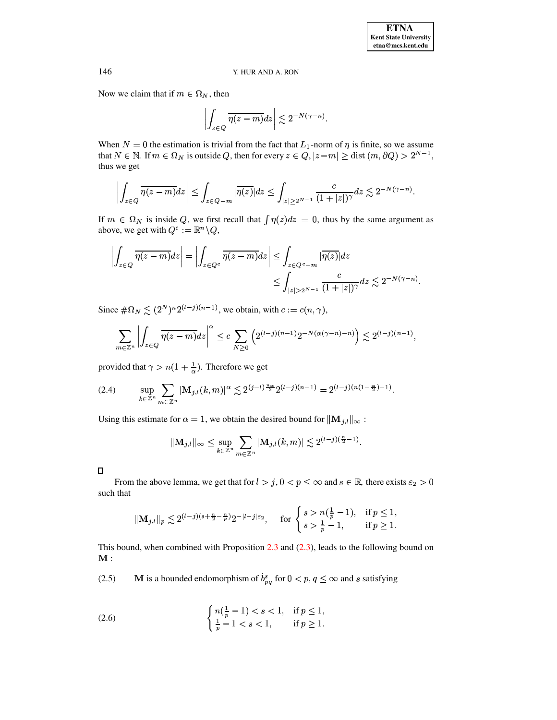Now we claim that if  $m \in \Omega_N$ , then

$$
\left| \int_{z \in Q} \overline{\eta(z-m)} dz \right| \lesssim 2^{-N(\gamma-n)}.
$$

When  $N = 0$  the estimation is trivial from the fact that  $L_1$ -norm of  $\eta$  is finite, so we assume that  $N \in \mathbb{N}$ . If  $m \in \Omega_N$  is outside Q, then for every  $z \in Q$ ,  $|z - m| \geq$  dist  $(m, \partial Q) > 2^{N-1}$ , thus we get

$$
\left| \int_{z \in Q} \overline{\eta(z-m)} dz \right| \leq \int_{z \in Q-m} |\overline{\eta(z)}| dz \leq \int_{|z| \geq 2^{N-1}} \frac{c}{(1+|z|)^{\gamma}} dz \lesssim 2^{-N(\gamma-n)}
$$

If  $m \in \Omega$ <sub>N</sub> is inside Q, we first recall that  $\int \eta(z) dz = 0$ , thus by the same argument as above, we get with  $Q^c := \mathbb{R}^n \backslash Q$ ,

$$
\left| \int_{z \in Q} \overline{\eta(z-m)} dz \right| = \left| \int_{z \in Q^c} \overline{\eta(z-m)} dz \right| \leq \int_{z \in Q^c - m} |\overline{\eta(z)}| dz
$$
  

$$
\leq \int_{|z| \geq 2^{N-1}} \frac{c}{(1+|z|)^{\gamma}} dz \lesssim 2^{-N(\gamma - n)}.
$$

Since  $\#\Omega_N \lesssim (2^N)^n 2^{(l-j)(n-1)}$ , we obtain, with  $c := c(n, \gamma)$ ,

$$
\sum_{m\in\mathbb{Z}^n}\left|\int_{z\in Q}\overline{\eta(z-m)}dz\right|^{\alpha}\leq c\sum_{N\geq 0}\left(2^{(l-j)(n-1)}2^{-N(\alpha(\gamma-n)-n)}\right)\lesssim 2^{(l-j)(n-1)},
$$

provided that  $\gamma > n(1 + \frac{1}{\alpha})$ . Therefore we get

<span id="page-8-0"></span>
$$
(2.4) \qquad \sup_{k\in\mathbb{Z}^n} \sum_{m\in\mathbb{Z}^n} |\mathbf{M}_{j,l}(k,m)|^{\alpha} \lesssim 2^{(j-l)\frac{n\alpha}{2}} 2^{(l-j)(n-1)} = 2^{(l-j)(n(1-\frac{\alpha}{2})-1)}.
$$

Using this estimate for  $\alpha = 1$ , we obtain the desired bound for  $\|\mathbf{M}_{j,l}\|_{\infty}$ :

$$
\|\mathbf{M}_{j,l}\|_{\infty} \leq \sup_{k\in\mathbb{Z}^n} \sum_{m\in\mathbb{Z}^n} |\mathbf{M}_{j,l}(k,m)| \lesssim 2^{(l-j)(\frac{n}{2}-1)}.
$$

From the above lemma, we get that for  $l > j$ ,  $0 < p \le \infty$  and  $s \in \mathbb{R}$ , there exists  $\varepsilon_2 > 0$ such that

$$
\|\mathbf{M}_{j,l}\|_{p} \lesssim 2^{(l-j)(s+\frac{n}{2}-\frac{n}{p})} 2^{-|l-j|\varepsilon_{2}}, \quad \text{for }\begin{cases} s > n(\frac{1}{p}-1), & \text{if } p \le 1, \\ s > \frac{1}{p}-1, & \text{if } p \ge 1. \end{cases}
$$

This bound, when combined with Proposition  $2.3$  and  $(2.3)$ , leads to the following bound on  $\mathbf{M}:$ 

<span id="page-8-1"></span>**M** is a bounded endomorphism of  $b_{pq}^s$  for  $0 < p, q \le \infty$  and s satisfying  $(2.5)$ 

<span id="page-8-2"></span>(2.6) 
$$
\begin{cases} n(\frac{1}{p}-1) < s < 1, & \text{if } p \leq 1, \\ \frac{1}{p}-1 < s < 1, & \text{if } p \geq 1. \end{cases}
$$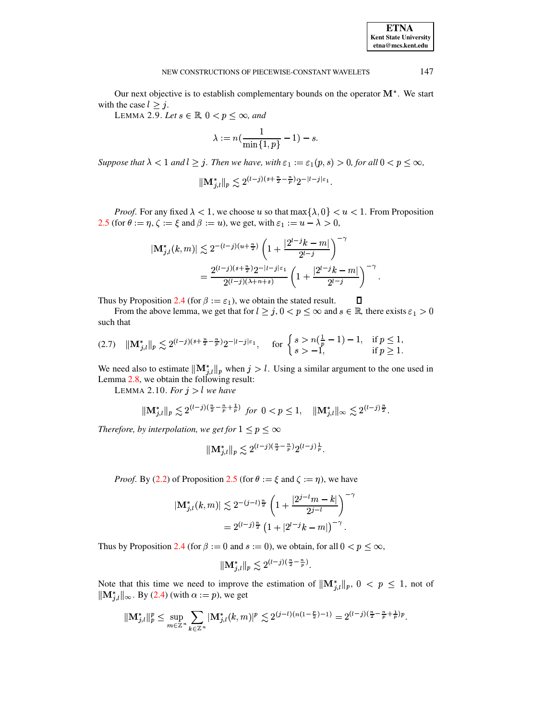Our next objective is to establish complementary bounds on the operator  $M^*$ . We start with the case  $l \geq j$ .

LEMMA 2.9. Let  $s \in \mathbb{R}$ ,  $0 < p \leq \infty$ , and

$$
\lambda:=n(\frac{1}{\min\{1,p\}}-1)-s.
$$

Suppose that  $\lambda < 1$  and  $l \ge j$ . Then we have, with  $\varepsilon_1 := \varepsilon_1(p, s) > 0$ , for all  $0 < p \le \infty$ ,

$$
\|\mathbf{M}_{j,l}^*\|_p \lesssim 2^{(l-j)(s+\frac{n}{2}-\frac{n}{p})} 2^{-|l-j|\varepsilon_1}.
$$

*Proof.* For any fixed  $\lambda < 1$ , we choose u so that  $\max{\{\lambda, 0\}} < u < 1$ . From Proposition 2.5 (for  $\theta := \eta$ ,  $\zeta := \xi$  and  $\beta := u$ ), we get, with  $\varepsilon_1 := u - \lambda > 0$ ,

$$
|\mathbf{M}_{j,l}^{*}(k,m)| \lesssim 2^{-(l-j)(u+\frac{n}{2})} \left(1 + \frac{|2^{l-j}k-m|}{2^{l-j}}\right)^{-\gamma}
$$
  
= 
$$
\frac{2^{(l-j)(s+\frac{n}{2})}2^{-|l-j|\varepsilon_1}}{2^{(l-j)(\lambda+n+s)}} \left(1 + \frac{|2^{l-j}k-m|}{2^{l-j}}\right)^{-\gamma}
$$

Thus by Proposition 2.4 (for  $\beta := \varepsilon_1$ ), we obtain the stated result.

From the above lemma, we get that for  $l \ge j$ ,  $0 < p \le \infty$  and  $s \in \mathbb{R}$ , there exists  $\varepsilon_1 > 0$ such that

<span id="page-9-0"></span>
$$
(2.7) \quad ||\mathbf{M}_{j,l}^*||_p \lesssim 2^{(l-j)(s+\frac{n}{2}-\frac{n}{p})} 2^{-|l-j|\varepsilon_1}, \quad \text{for } \begin{cases} s > n(\frac{1}{p}-1)-1, & \text{if } p \le 1, \\ s > -1, & \text{if } p \ge 1. \end{cases}
$$

We need also to estimate  $\|\mathbf{M}_{j,l}^*\|_p$  when  $j > l$ . Using a similar argument to the one used in Lemma 2.8, we obtain the following result:

LEMMA 2.10. For  $j > l$  we have

$$
\|\mathbf{M}_{j,l}^*\|_p \lesssim 2^{(l-j)(\frac{n}{2}-\frac{n}{p}+\frac{1}{p})} \text{ for } 0 < p \le 1, \quad \|\mathbf{M}_{j,l}^*\|_\infty \lesssim 2^{(l-j)\frac{n}{2}}.
$$

Therefore, by interpolation, we get for  $1 \le p \le \infty$ 

$$
\|\mathbf{M}_{j,l}^*\|_p \lesssim 2^{(l-j)\left(\frac{n}{2} - \frac{n}{p}\right)} 2^{(l-j)\frac{1}{p}}.
$$

*Proof.* By (2.2) of Proposition 2.5 (for  $\theta := \xi$  and  $\zeta := \eta$ ), we have

$$
\begin{aligned} |\mathbf{M}_{j,l}^*(k,m)| &\lesssim 2^{-(j-l)\frac{n}{2}} \left(1+\frac{|2^{j-l}m-k|}{2^{j-l}}\right)^{-\gamma} \\ &= 2^{(l-j)\frac{n}{2}} \left(1+|2^{l-j}k-m|\right)^{-\gamma}. \end{aligned}
$$

Thus by Proposition 2.4 (for  $\beta := 0$  and  $s := 0$ ), we obtain, for all  $0 < p \leq \infty$ ,

$$
\|\mathbf{M}_{j,l}^*\|_p \lesssim 2^{(l-j)\left(\frac{n}{2} - \frac{n}{p}\right)}
$$

Note that this time we need to improve the estimation of  $\|\mathbf{M}_{j,l}^*\|_p$ ,  $0 < p \le 1$ , not of  $\|\mathbf{M}_{i,l}^*\|_{\infty}$ . By (2.4) (with  $\alpha := p$ ), we get

$$
\|{\mathbf M}_{j,l}^{\ast}\|_p^p\leq \sup_{m\in\mathbb{Z}^n}\sum_{k\in\mathbb{Z}^n}|{\mathbf M}_{j,l}^{\ast}(k,m)|^p\lesssim 2^{(j-l)(n(1-\frac{p}{2})-1)}=2^{(l-j)(\frac{n}{2}-\frac{n}{p}+\frac{1}{p})p}.
$$

147

**ETNA Kent State University**  $etna@mcs. kent.edu$ 

 $\Box$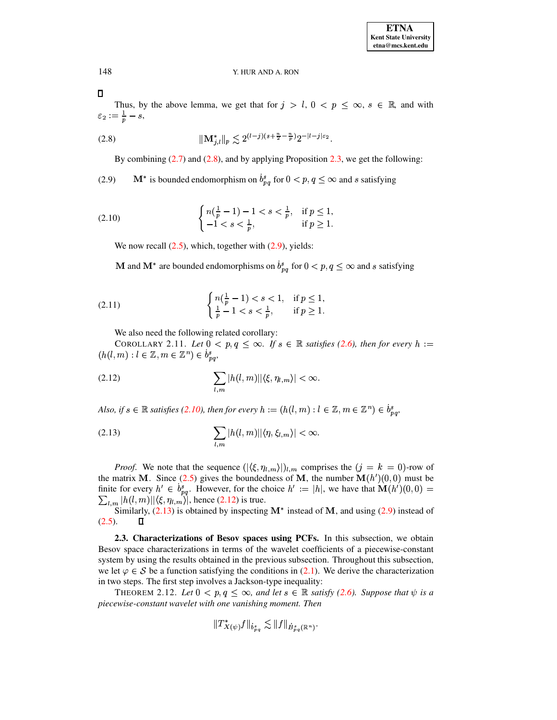148  $\Box$ 

Thus, by the above lemma, we get that for  $j > l$ ,  $0 < p \le \infty$ ,  $s \in \mathbb{R}$ , and with  $\varepsilon_2 := \frac{1}{n} - s,$ 

$$
\|\mathbf{M}_{i,l}^*\|_p \lesssim 2^{(l-j)(s+\frac{n}{2}-\frac{n}{p})} 2^{-|l-j|\varepsilon_2}.
$$

<span id="page-10-1"></span>By combining  $(2.7)$  and  $(2.8)$ , and by applying Proposition 2.3, we get the following:

<span id="page-10-2"></span> $\mathbf{M}^*$  is bounded endomorphism on  $\dot{b}^s_{pq}$  for  $0 < p,q \leq \infty$  and  $s$  satisfying  $(2.9)$ 

<span id="page-10-3"></span>(2.10) 
$$
\begin{cases} n(\frac{1}{p}-1)-1 < s < \frac{1}{p}, \quad \text{if } p \le 1, \\ -1 < s < \frac{1}{p}, \quad \text{if } p \ge 1. \end{cases}
$$

We now recall  $(2.5)$ , which, together with  $(2.9)$ , yields:

**M** and **M**<sup>\*</sup> are bounded endomorphisms on  $b_{pq}^s$  for  $0 < p, q \le \infty$  and s satisfying

(2.11) 
$$
\begin{cases} n(\frac{1}{p}-1) < s < 1, & \text{if } p \leq 1, \\ \frac{1}{p}-1 < s < \frac{1}{p}, & \text{if } p \geq 1. \end{cases}
$$

<span id="page-10-7"></span><span id="page-10-6"></span>We also need the following related corollary:

COROLLARY 2.11. Let  $0 < p, q \le \infty$ . If  $s \in \mathbb{R}$  satisfies (2.6), then for every  $h :=$  $(h(l,m): l \in \mathbb{Z}, m \in \mathbb{Z}^n) \in b_{pq}^s$ 

<span id="page-10-4"></span>
$$
(2.12)\qquad \qquad \sum_{l,m}|h(l,m)||\langle \xi, \eta_{l,m}\rangle| < \infty.
$$

Also, if  $s \in \mathbb{R}$  satisfies (2.10), then for every  $h := (h(l,m): l \in \mathbb{Z}, m \in \mathbb{Z}^n) \in b_{nn}^s$ ,

<span id="page-10-5"></span>(2.13) 
$$
\sum_{l,m}|h(l,m)||\langle \eta,\xi_{l,m}\rangle|<\infty
$$

*Proof.* We note that the sequence  $(|\langle \xi, \eta_{l,m} \rangle|)_{l,m}$  comprises the  $(j = k = 0)$ -row of the matrix M. Since (2.5) gives the boundedness of M, the number  $M(h')(0,0)$  must be finite for every  $h' \in b_{pq}^s$ . However, for the choice  $h' := |h|$ , we have that  $\mathbf{M}(h')(0,0) = \sum_{l,m} |h(l,m)| |\langle \xi, \eta_{l,m} \rangle|$ , hence (2.12) is true.

Similarly,  $(2.13)$  is obtained by inspecting  $M^*$  instead of M, and using  $(2.9)$  instead of  $(2.5).$  $\Box$ 

2.3. Characterizations of Besov spaces using PCFs. In this subsection, we obtain Besov space characterizations in terms of the wavelet coefficients of a piecewise-constant system by using the results obtained in the previous subsection. Throughout this subsection, we let  $\varphi \in \mathcal{S}$  be a function satisfying the conditions in (2.1). We derive the characterization in two steps. The first step involves a Jackson-type inequality:

THEOREM 2.12. Let  $0 < p, q \le \infty$ , and let  $s \in \mathbb{R}$  satisfy (2.6). Suppose that  $\psi$  is a piecewise-constant wavelet with one vanishing moment. Then

<span id="page-10-0"></span>
$$
||T^*_{X(\psi)}f||_{\dot{b}^s_{pq}} \lesssim ||f||_{\dot{B}^s_{pq}(\mathbb{R}^n)}.
$$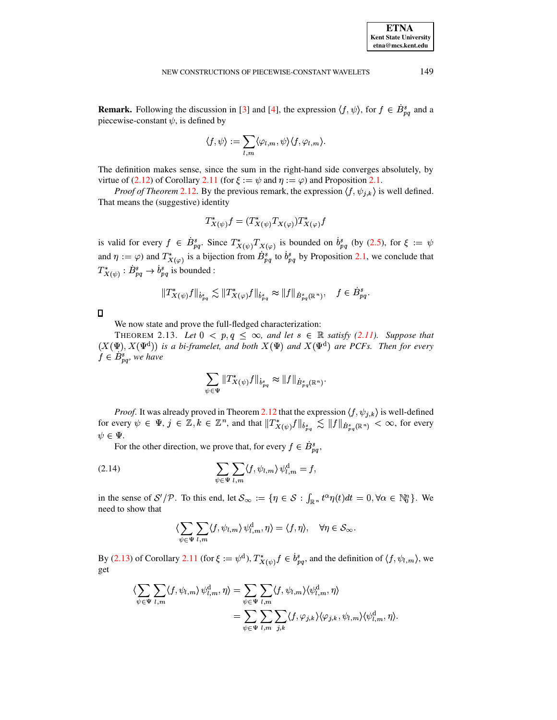**Remark.** Following the discussion in [3] and [4], the expression  $\langle f, \psi \rangle$ , for  $f \in B_{pq}^s$  and a piecewise-constant  $\psi$ , is defined by

$$
\langle f, \psi \rangle := \sum_{l,m} \langle \varphi_{l,m}, \psi \rangle \langle f, \varphi_{l,m} \rangle.
$$

The definition makes sense, since the sum in the right-hand side converges absolutely, by virtue of (2.12) of Corollary 2.11 (for  $\xi := \psi$  and  $\eta := \varphi$ ) and Proposition 2.1.

*Proof of Theorem* 2.12. By the previous remark, the expression  $\langle f, \psi_{j,k} \rangle$  is well defined. That means the (suggestive) identity

$$
T_{X(\psi)}^* f = (T_{X(\psi)}^* T_{X(\varphi)}) T_{X(\varphi)}^* f
$$

is valid for every  $f \in \dot{B}_{pq}^s$ . Since  $T^*_{X(\psi)}T^*_{X(\varphi)}$  is bounded on  $\dot{b}_{pq}^s$  (by (2.5), for  $\xi := \psi$ and  $\eta := \varphi$  and  $T^*_{X(\varphi)}$  is a bijection from  $B_{pq}^s$  to  $\dot{b}_{pq}^s$  by Proposition 2.1, we conclude that  $T^*_{X(\psi)} : B^s_{pq} \to b^s_{pq}$  is bounded :

$$
\|T^*_{X(\psi)}f\|_{\dot{b}^s_{pq}}\lesssim \|T^*_{X(\varphi)}f\|_{\dot{b}^s_{pq}}\approx \|f\|_{\dot{B}^s_{pq}(\mathbb{R}^n)},\quad f\in \dot{B}^s_{pq}.
$$

 $\Box$ 

We now state and prove the full-fledged characterization:

THEOREM 2.13. Let  $0 < p, q \le \infty$ , and let  $s \in \mathbb{R}$  satisfy (2.11). Suppose that  $(X(\Psi), X(\Psi^d))$  is a bi-framelet, and both  $X(\Psi)$  and  $X(\Psi^d)$  are PCFs. Then for every  $f \in B_{pq}^s$ , we have

<span id="page-11-0"></span>
$$
\sum_{\psi \in \Psi} ||T^*_{X(\psi)}f||_{\dot{b}^s_{pq}} \approx ||f||_{\dot{B}^s_{pq}(\mathbb{R}^n)}.
$$

*Proof.* It was already proved in Theorem 2.12 that the expression  $\langle f, \psi_{j,k} \rangle$  is well-defined for every  $\psi \in \Psi$ ,  $j \in \mathbb{Z}, k \in \mathbb{Z}^n$ , and that  $||T^*_{X(\psi)}f||_{\dot{B}^s_{\infty}} \lesssim ||f||_{\dot{B}^s_{\infty}(\mathbb{R}^n)} < \infty$ , for every  $\psi \in \Psi$ .

<span id="page-11-1"></span>For the other direction, we prove that, for every  $f \in B_{pq}^s$ ,

(2.14) 
$$
\sum_{\psi \in \Psi} \sum_{l,m} \langle f, \psi_{l,m} \rangle \psi_{l,m}^{\rm d} = f,
$$

in the sense of  $S'/\mathcal{P}$ . To this end, let  $\mathcal{S}_{\infty} := \{ \eta \in \mathcal{S} : \int_{\mathbb{R}^n} t^{\alpha} \eta(t) dt = 0, \forall \alpha \in \mathbb{N}_0^n \}$ . We need to show that

$$
\langle \sum_{\psi \in \Psi} \sum_{l,m} \langle f, \psi_{l,m} \rangle \psi_{l,m}^d, \eta \rangle = \langle f, \eta \rangle, \quad \forall \eta \in \mathcal{S}_{\infty}.
$$

By (2.13) of Corollary 2.11 (for  $\xi := \psi^d$ ),  $T^*_{X(\psi)} f \in b_{pq}^s$ , and the definition of  $\langle f, \psi_{l,m} \rangle$ , we get

$$
\langle \sum_{\psi \in \Psi} \sum_{l,m} \langle f, \psi_{l,m} \rangle \psi_{l,m}^{\mathrm{d}}, \eta \rangle = \sum_{\psi \in \Psi} \sum_{l,m} \langle f, \psi_{l,m} \rangle \langle \psi_{l,m}^{\mathrm{d}}, \eta \rangle
$$
  

$$
= \sum_{\psi \in \Psi} \sum_{l,m} \sum_{j,k} \langle f, \varphi_{j,k} \rangle \langle \varphi_{j,k}, \psi_{l,m} \rangle \langle \psi_{l,m}^{\mathrm{d}}, \eta \rangle
$$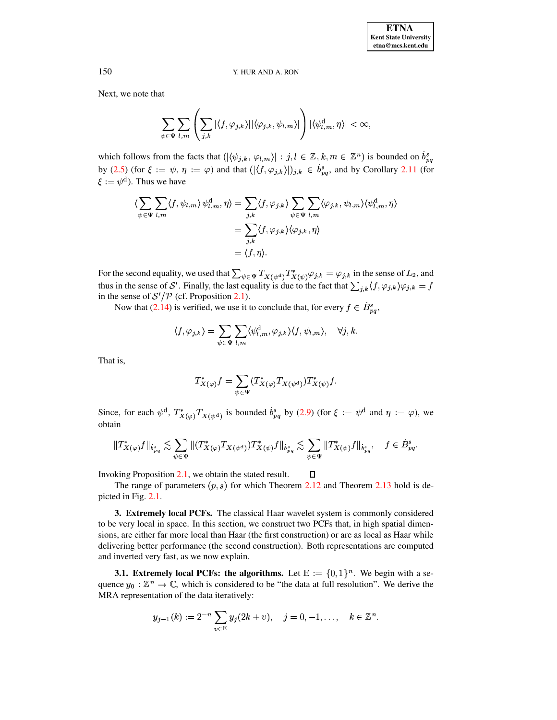Next, we note that

$$
\sum_{\psi\in \Psi}\sum_{l,m}\left(\sum_{j,k}|\langle f,\varphi_{j,k}\rangle||\langle \varphi_{j,k},\psi_{l,m}\rangle|\right)|\langle \psi^{\rm d}_{l,m},\eta\rangle|<\infty
$$

which follows from the facts that  $(|\langle \psi_{j,k}, \varphi_{l,m} \rangle| : j, l \in \mathbb{Z}, k, m \in \mathbb{Z}^n)$  is bounded on  $\dot{b}_{pq}^s$ by (2.5) (for  $\xi := \psi, \eta := \varphi$ ) and that  $(|\langle f, \varphi_{j,k} \rangle|)_{j,k} \in \dot{b}_{pq}^s$ , and by Corollary 2.11 (for  $\xi := \psi^d$ ). Thus we have

$$
\langle \sum_{\psi \in \Psi} \sum_{l,m} \langle f, \psi_{l,m} \rangle \psi_{l,m}^{\mathrm{d}}, \eta \rangle = \sum_{j,k} \langle f, \varphi_{j,k} \rangle \sum_{\psi \in \Psi} \sum_{l,m} \langle \varphi_{j,k}, \psi_{l,m} \rangle \langle \psi_{l,m}^{\mathrm{d}}, \eta \rangle
$$
  
= 
$$
\sum_{j,k} \langle f, \varphi_{j,k} \rangle \langle \varphi_{j,k}, \eta \rangle
$$
  
= 
$$
\langle f, \eta \rangle.
$$

For the second equality, we used that  $\sum_{\psi \in \Psi} T_{X(\psi^d)} T_{X(\psi)}^* \varphi_{j,k} = \varphi_{j,k}$  in the sense of  $L_2$ , and thus in the sense of S'. Finally, the last equality is due to the fact that  $\sum_{j,k} \langle f, \varphi_{j,k} \rangle \varphi_{j,k} = f$ in the sense of  $S'/P$  (cf. Proposition 2.1).

Now that (2.14) is verified, we use it to conclude that, for every  $f \in B_{pq}^s$ ,

$$
\langle f, \varphi_{j,k} \rangle = \sum_{\psi \in \Psi} \sum_{l,m} \langle \psi_{l,m}^{\rm d}, \varphi_{j,k} \rangle \langle f, \psi_{l,m} \rangle, \quad \forall j,k.
$$

That is,

$$
T^*_{X(\varphi)}f=\sum_{\psi\in\Psi}(T^*_{X(\varphi)}T_{X(\psi^{\textup{d}})})T^*_{X(\psi)}f
$$

Since, for each  $\psi^d$ ,  $T^*_{X(\varphi)}T_{X(\psi^d)}$  is bounded  $\dot{b}_{pq}^s$  by (2.9) (for  $\xi := \psi^d$  and  $\eta := \varphi$ ), we obtain

$$
\|T^*_{X(\varphi)}f\|_{\dot{b}^s_{pq}} \lesssim \sum_{\psi \in \Psi} \| (T^*_{X(\varphi)}T_{X(\psi^{\mathrm{d}})}) T^*_{X(\psi)}f\|_{\dot{b}^s_{pq}} \lesssim \sum_{\psi \in \Psi} \|T^*_{X(\psi)}f\|_{\dot{b}^s_{pq}}, \quad f \in \dot{B}^s_{pq}
$$

Invoking Proposition  $2.1$ , we obtain the stated result.

The range of parameters  $(p, s)$  for which Theorem 2.12 and Theorem 2.13 hold is depicted in Fig. 2.1.

 $\Box$ 

**3. Extremely local PCFs.** The classical Haar wavelet system is commonly considered to be very local in space. In this section, we construct two PCFs that, in high spatial dimensions, are either far more local than Haar (the first construction) or are as local as Haar while delivering better performance (the second construction). Both representations are computed and inverted very fast, as we now explain.

**3.1.** Extremely local PCFs: the algorithms. Let  $E := \{0, 1\}^n$ . We begin with a sequence  $y_0 : \mathbb{Z}^n \to \mathbb{C}$ , which is considered to be "the data at full resolution". We derive the MRA representation of the data iteratively:

$$
y_{j-1}(k) := 2^{-n} \sum_{v \in E} y_j(2k+v), \quad j = 0, -1, \dots, \quad k \in \mathbb{Z}^n.
$$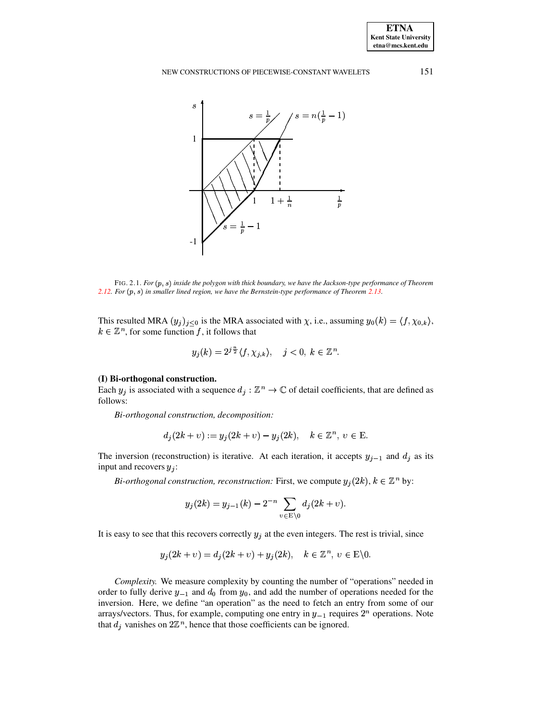

<span id="page-13-0"></span>FIG. 2.1. For  $(p, s)$  inside the polygon with thick boundary, we have the Jackson-type performance of Theorem 2.12. For  $(p, s)$  in smaller lined region, we have the Bernstein-type performance of Theorem 2.13.

This resulted MRA  $(y_j)_{j \leq 0}$  is the MRA associated with  $\chi$ , i.e., assuming  $y_0(k) = \langle f, \chi_{0,k} \rangle$ ,  $k \in \mathbb{Z}^n$ , for some function f, it follows that

$$
y_j(k) = 2^{j\frac{n}{2}} \langle f, \chi_{j,k} \rangle, \quad j < 0, \ k \in \mathbb{Z}^n.
$$

### (I) Bi-orthogonal construction.

Each  $y_j$  is associated with a sequence  $d_j : \mathbb{Z}^n \to \mathbb{C}$  of detail coefficients, that are defined as follows:

Bi-orthogonal construction, decomposition:

$$
d_j(2k + v) := y_j(2k + v) - y_j(2k), \quad k \in \mathbb{Z}^n, \ v \in \mathbb{E}.
$$

The inversion (reconstruction) is iterative. At each iteration, it accepts  $y_{j-1}$  and  $d_j$  as its input and recovers  $y_i$ :

Bi-orthogonal construction, reconstruction: First, we compute  $y_i(2k)$ ,  $k \in \mathbb{Z}^n$  by:

$$
y_j(2k) = y_{j-1}(k) - 2^{-n} \sum_{v \in E \setminus 0} d_j(2k + v).
$$

It is easy to see that this recovers correctly  $y_j$  at the even integers. The rest is trivial, since

$$
y_i(2k + v) = d_i(2k + v) + y_i(2k), \quad k \in \mathbb{Z}^n, v \in E\backslash 0.
$$

*Complexity.* We measure complexity by counting the number of "operations" needed in order to fully derive  $y_{-1}$  and  $d_0$  from  $y_0$ , and add the number of operations needed for the inversion. Here, we define "an operation" as the need to fetch an entry from some of our arrays/vectors. Thus, for example, computing one entry in  $y_{-1}$  requires  $2^n$  operations. Note that  $d_j$  vanishes on  $2\mathbb{Z}^n$ , hence that those coefficients can be ignored.

151

**ETNA Kent State University**  $etna@mcs. kent.edu$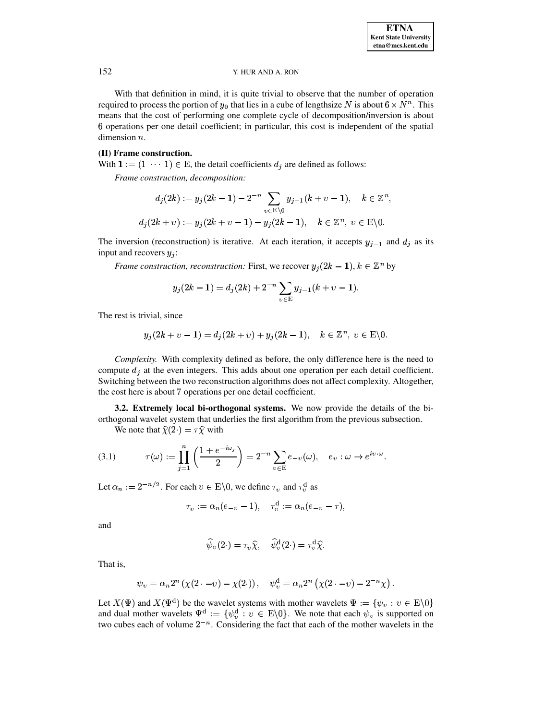\*

### 152 Y. HUR AND A. RON

With that definition in mind, it is quite trivial to observe that the number of operation required to process the portion of  $y_0$  that lies in a cube of lengthsize N is about  $6 \times N^n$ . This means that the cost of performing one complete cycle of decomposition/inversion is about operations per one detail coefficient; in particular, this cost is independent of the spatial dimension  $n$ .

### **(II) Frame construction.**

With  $1 := (1 \cdots 1) \in E$ , the detail coefficients  $d_j$  are defined as follows:

*Frame construction, decomposition:*

$$
d_j(2k) := y_j(2k - 1) - 2^{-n} \sum_{v \in E \setminus 0} y_{j-1}(k + v - 1), \quad k \in \mathbb{Z}^n,
$$
  

$$
d_j(2k + v) := y_j(2k + v - 1) - y_j(2k - 1), \quad k \in \mathbb{Z}^n, v \in E \setminus 0.
$$

The inversion (reconstruction) is iterative. At each iteration, it accepts  $y_{j-1}$  and  $d_j$  as its input and recovers  $y_j$ :

*Frame construction, reconstruction:* First, we recover  $y_j(2k-1)$ ,  $k \in \mathbb{Z}^n$  by

$$
y_j(2k-1) = d_j(2k) + 2^{-n} \sum_{v \in E} y_{j-1}(k+v-1).
$$

The rest is trivial, since

$$
y_j(2k + \nu - 1) = d_j(2k + \nu) + y_j(2k - 1), \quad k \in \mathbb{Z}^n, \ \nu \in \mathbb{E}\backslash 0.
$$

*Complexity.* With complexity defined as before, the only difference here is the need to compute  $d_i$  at the even integers. This adds about one operation per each detail coefficient. Switching between the two reconstruction algorithms does not affect complexity. Altogether, the cost here is about 7 operations per one detail coefficient.

**3.2. Extremely local bi-orthogonal systems.** We now provide the details of the biorthogonal wavelet system that underlies the first algorithm from the previous subsection. We note that  $\hat{\chi}(2 \cdot) = \tau \hat{\chi}$  with

<span id="page-14-0"></span>(3.1)  $\tau(\omega) := \prod_{i=1}^n \left( \frac{1+e^{-i\omega_i}}{2} \right) = 2^{-n} \sum_{v \in \mathbb{F}} e_{-v}(\omega), \quad e_v : \omega \to e^{iv \cdot \omega}.$ 

$$
\overline{j=1} \quad \begin{array}{ccc} & 2 & \\ & & \end{array}
$$

Let  $\alpha_n := 2^{-n/2}$ . For each  $v \in E \backslash 0$ , we define  $\tau_v$  and  $\tau_v^d$  as

$$
\tau_v := \alpha_n(e_{-v} - 1), \quad \tau_v^d := \alpha_n(e_{-v} - \tau),
$$

and

$$
\widehat{\psi}_v(2\cdot)=\tau_v\widehat{\chi},\quad \widehat{\psi}_v^{\text{d}}(2\cdot)=\tau_v^{\text{d}}\widehat{\chi}.
$$

That is,

$$
\psi_v = \alpha_n 2^n \left( \chi(2 - v) - \chi(2) \right), \quad \psi_v^d = \alpha_n 2^n \left( \chi(2 - v) - 2^{-n} \chi \right).
$$

Let  $X(\Psi)$  and  $X(\Psi^d)$  be the wavelet systems with mother wavelets  $\Psi := \{ \psi_v : v \in E \setminus 0 \}$ and dual mother wavelets  $\Psi^d := \{ \psi_v^d : v \in E \setminus 0 \}$ . We note that each  $\psi_v$  is supported on two cubes each of volume  $2^{-n}$ . Considering the fact that each of the mother wavelets in the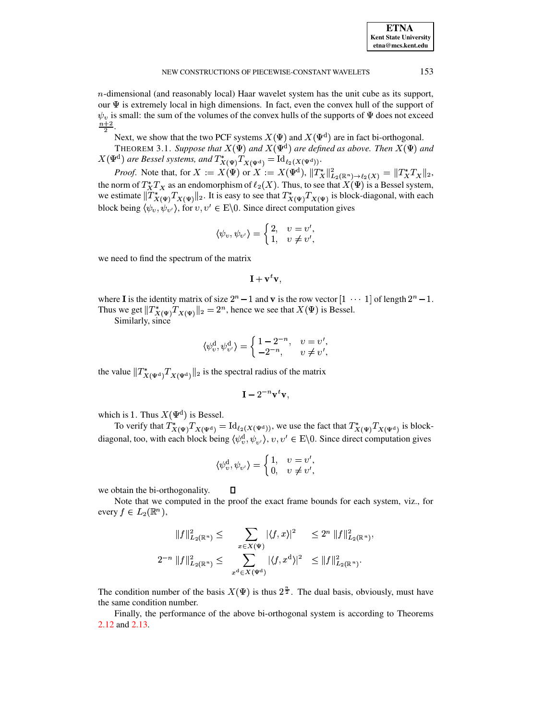$n$ -dimensional (and reasonably local) Haar wavelet system has the unit cube as its support, our  $\Psi$  is extremely local in high dimensions. In fact, even the convex hull of the support of  $\psi_v$  is small: the sum of the volumes of the convex hulls of the supports of  $\Psi$  does not exceed  $\frac{n+2}{2}$ 

Next, we show that the two PCF systems  $X(\Psi)$  and  $X(\Psi^d)$  are in fact bi-orthogonal.

THEOREM 3.1. Suppose that  $X(\Psi)$  and  $X(\Psi^d)$  are defined as above. Then  $X(\Psi)$  and  $X(\Psi^{\rm d})$  are Bessel systems, and  $T^*_{X(\Psi)}T^{}_{X(\Psi^{\rm d})}={\rm Id}_{\ell_2(X(\Psi^{\rm d}))}.$ 

*Proof.* Note that, for  $X := X(\Psi)$  or  $X := X(\Psi^d)$ ,  $||T_X^*||^2_{L_2(\mathbb{R}^n) \to \ell_2(X)} = ||T_X^*T_X||_2$ , the norm of  $T_X^*T_X$  as an endomorphism of  $\ell_2(X)$ . Thus, to see that  $X(\Psi)$  is a Bessel system, we estimate  $\|\hat{T}_{X(\Psi)}^*T_{X(\Psi)}\|_2$ . It is easy to see that  $T_{X(\Psi)}^*T_{X(\Psi)}$  is block-diagonal, with each block being  $\langle \psi_v, \psi_v \rangle$ , for  $v, v' \in E \backslash 0$ . Since direct computation gives

$$
\langle \psi_v, \psi_{v'} \rangle = \begin{cases} 2, & v = v', \\ 1, & v \neq v', \end{cases}
$$

we need to find the spectrum of the matrix

$$
\mathbf{I} + \mathbf{v}^t \mathbf{v},
$$

where **I** is the identity matrix of size  $2^n - 1$  and **v** is the row vector  $\begin{bmatrix} 1 & \cdots & 1 \end{bmatrix}$  of length  $2^n - 1$ . Thus we get  $||T^*_{X(\Psi)}T_{X(\Psi)}||_2 = 2^n$ , hence we see that  $X(\Psi)$  is Bessel.

Similarly, since

$$
\langle \psi_v^{\rm d}, \psi_{v'}^{\rm d} \rangle = \begin{cases} 1 - 2^{-n}, & v = v', \\ -2^{-n}, & v \neq v', \end{cases}
$$

the value  $||T^*_{X(\Psi^d)}T_{X(\Psi^d)}||_2$  is the spectral radius of the matrix

$$
\mathbf{I} - 2^{-n} \mathbf{v}^t \mathbf{v},
$$

which is 1. Thus  $X(\Psi^d)$  is Bessel.

To verify that  $T^*_{X(\Psi)}T_{X(\Psi^d)} = \mathrm{Id}_{\ell_2(X(\Psi^d))}$ , we use the fact that  $T^*_{X(\Psi)}T_{X(\Psi^d)}$  is blockdiagonal, too, with each block being  $\langle \psi_n^d, \psi_{n'} \rangle$ ,  $v, v' \in E \backslash 0$ . Since direct computation gives

$$
\langle \psi_v^{\rm d}, \psi_{v'} \rangle = \begin{cases} 1, & v = v', \\ 0, & v \neq v', \end{cases}
$$

we obtain the bi-orthogonality.

Note that we computed in the proof the exact frame bounds for each system, viz., for every  $f \in L_2(\mathbb{R}^n)$ ,

 $\Box$ 

$$
||f||_{L_2(\mathbb{R}^n)}^2 \leq \sum_{x \in X(\Psi)} |\langle f, x \rangle|^2 \leq 2^n ||f||_{L_2(\mathbb{R}^n)}^2,
$$
  

$$
2^{-n} ||f||_{L_2(\mathbb{R}^n)}^2 \leq \sum_{x^d \in X(\Psi^d)} |\langle f, x^d \rangle|^2 \leq ||f||_{L_2(\mathbb{R}^n)}^2.
$$

The condition number of the basis  $X(\Psi)$  is thus  $2^{\frac{n}{2}}$ . The dual basis, obviously, must have the same condition number.

Finally, the performance of the above bi-orthogonal system is according to Theorems 2.12 and 2.13.

153

**ETNA Kent State University**  $etna@mcs. kent.edu$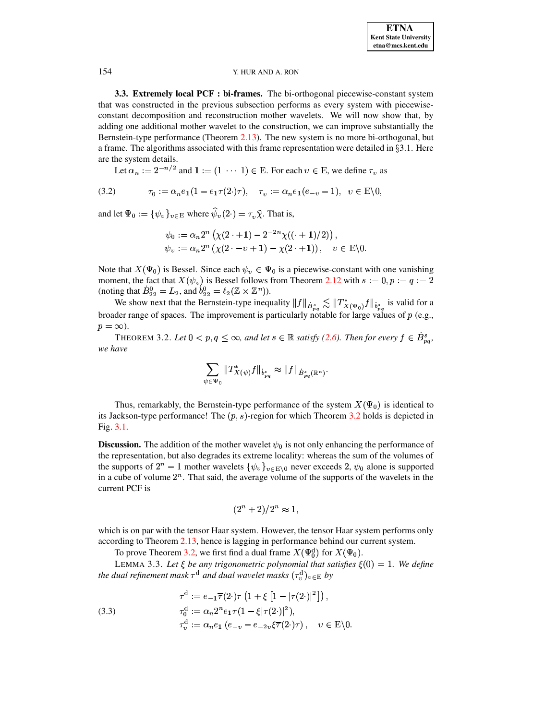3.3. Extremely local PCF : bi-frames. The bi-orthogonal piecewise-constant system that was constructed in the previous subsection performs as every system with piecewiseconstant decomposition and reconstruction mother wavelets. We will now show that, by adding one additional mother wavelet to the construction, we can improve substantially the Bernstein-type performance (Theorem 2.13). The new system is no more bi-orthogonal, but a frame. The algorithms associated with this frame representation were detailed in  $\S 3.1$ . Here are the system details.

Let  $\alpha_n := 2^{-n/2}$  and  $1 := (1 \cdots 1) \in E$ . For each  $v \in E$ , we define  $\tau_v$  as

<span id="page-16-1"></span>(3.2) 
$$
\tau_0 := \alpha_n e_1 (1 - e_1 \tau(2 \cdot) \tau), \quad \tau_v := \alpha_n e_1 (e_{-v} - 1), \quad v \in E \setminus 0,
$$

and let  $\Psi_0 := {\psi_v}_{v \in E}$  where  $\hat{\psi}_v(2) = \tau_v \hat{\chi}$ . That is,

$$
\psi_0 := \alpha_n 2^n \left( \chi(2 \cdot + 1) - 2^{-2n} \chi((\cdot + 1)/2) \right),
$$
  
\n
$$
\psi_v := \alpha_n 2^n \left( \chi(2 \cdot -v + 1) - \chi(2 \cdot + 1) \right), \quad v \in E \setminus 0
$$

Note that  $X(\Psi_0)$  is Bessel. Since each  $\psi_v \in \Psi_0$  is a piecewise-constant with one vanishing moment, the fact that  $X(\psi_v)$  is Bessel follows from Theorem 2.12 with  $s := 0, p := q := 2$ (noting that  $B_{22}^0 = L_2$ , and  $b_{22}^0 = \ell_2(\mathbb{Z} \times \mathbb{Z}^n)$ ).

We show next that the Bernstein-type inequality  $||f||_{\dot{B}^s_{p,q}} \lesssim ||T^*_{X(\Psi_0)}f||_{\dot{b}^s_{p,q}}$  is valid for a broader range of spaces. The improvement is particularly notable for large values of  $p$  (e.g.,  $p = \infty$ ).

<span id="page-16-0"></span>THEOREM 3.2. Let  $0 < p, q \le \infty$ , and let  $s \in \mathbb{R}$  satisfy (2.6). Then for every  $f \in \dot{B}_{pq}^s$ , we have

$$
\sum_{\psi \in \Psi_0} \|T_{X(\psi)}^* f\|_{\dot{B}^{s}_{pq}} \approx \|f\|_{\dot{B}^{s}_{pq}(\mathbb{R}^n)}.
$$

Thus, remarkably, the Bernstein-type performance of the system  $X(\Psi_0)$  is identical to its Jackson-type performance! The  $(p, s)$ -region for which Theorem 3.2 holds is depicted in Fig.  $3.1$ .

**Discussion.** The addition of the mother wavelet  $\psi_0$  is not only enhancing the performance of the representation, but also degrades its extreme locality: whereas the sum of the volumes of the supports of  $2^n - 1$  mother wavelets  $\{\psi_v\}_{v \in \mathbb{E} \setminus 0}$  never exceeds 2,  $\psi_0$  alone is supported in a cube of volume  $2^n$ . That said, the average volume of the supports of the wavelets in the current PCF is

<span id="page-16-3"></span>
$$
(2^n+2)/2^n \approx 1,
$$

which is on par with the tensor Haar system. However, the tensor Haar system performs only according to Theorem 2.13, hence is lagging in performance behind our current system.

To prove Theorem 3.2, we first find a dual frame  $X(\Psi_0^d)$  for  $X(\Psi_0)$ .

LEMMA 3.3. Let  $\xi$  be any trigonometric polynomial that satisfies  $\xi(0) = 1$ . We define the dual refinement mask  $\tau^d$  and dual wavelet masks  $(\tau_n^d)_{v \in E}$  by

<span id="page-16-2"></span>(3.3) 
$$
\tau^d := e_{-1} \overline{\tau}(2 \cdot) \tau \left(1 + \xi \left[1 - |\tau(2 \cdot)|^2\right]\right),
$$

$$
\tau_0^d := \alpha_n 2^n e_1 \tau (1 - \xi |\tau(2 \cdot)|^2),
$$

$$
\tau_v^d := \alpha_n e_1 \left(e_{-v} - e_{-2v} \xi \overline{\tau}(2 \cdot) \tau\right), \quad v \in \mathbb{E}\backslash 0.
$$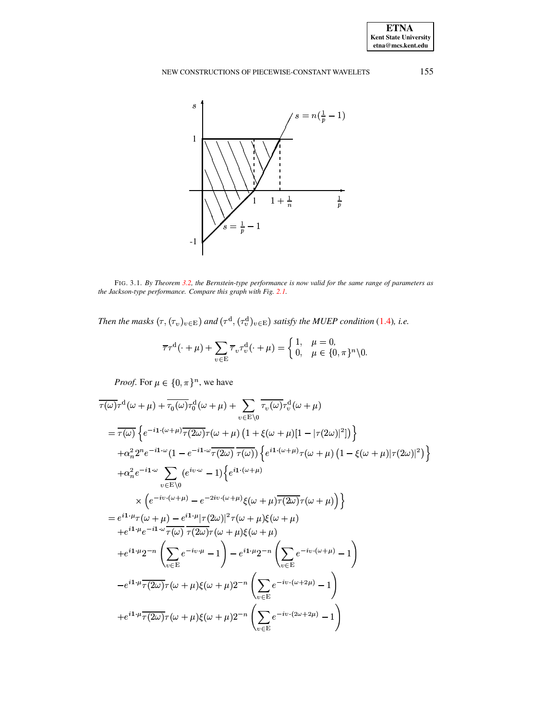

<span id="page-17-0"></span>FIG. 3.1. By Theorem 3.2, the Bernstein-type performance is now valid for the same range of parameters as the Jackson-type performance. Compare this graph with Fig. 2.1.

Then the masks  $(\tau, (\tau_v)_{v \in E})$  and  $(\tau^d, (\tau_v^d)_{v \in E})$  satisfy the MUEP condition (1.4), i.e.

$$
\overline{\tau}\tau^{\mathrm{d}}(\cdot+\mu)+\sum_{v\in E}\overline{\tau}_{v}\tau_{v}^{\mathrm{d}}(\cdot+\mu)=\begin{cases}1, & \mu=0,\\0, & \mu\in\{0,\pi\}^{n}\setminus 0.\end{cases}
$$

*Proof.* For  $\mu \in \{0, \pi\}^n$ , we have

$$
\overline{\tau(\omega)}\tau^{d}(\omega+\mu)+\overline{\tau_{0}(\omega)}\tau_{0}^{d}(\omega+\mu)+\sum_{v\in E\setminus 0}\overline{\tau_{v}(\omega)}\tau_{v}^{d}(\omega+\mu)
$$
\n
$$
=\overline{\tau(\omega)}\left\{e^{-i1\cdot(\omega+\mu)}\overline{\tau(2\omega)}\tau(\omega+\mu)\left(1+\xi(\omega+\mu)[1-|\tau(2\omega)|^{2}\right)\right\}
$$
\n
$$
+\alpha_{n}^{2}2^{n}e^{-i1\cdot\omega}\left(1-e^{-i1\cdot\omega}\overline{\tau(2\omega)}\overline{\tau(\omega)}\right)\left\{e^{i1\cdot(\omega+\mu)}\tau(\omega+\mu)\left(1-\xi(\omega+\mu)|\tau(2\omega)|^{2}\right)\right\}
$$
\n
$$
+\alpha_{n}^{2}e^{-i1\cdot\omega}\sum_{v\in E\setminus 0}\left(e^{iv\cdot\omega}-1\right)\left\{e^{i1\cdot(\omega+\mu)}\tau(\omega+\mu)\left(1-\xi(\omega+\mu)|\tau(2\omega)|^{2}\right)\right\}
$$
\n
$$
=\left\{e^{i1\cdot\mu}\tau(\omega+\mu)-e^{-2i\nu\cdot(\omega+\mu)}\xi(\omega+\mu)\overline{\tau(2\omega)}\tau(\omega+\mu)\right\}
$$
\n
$$
+e^{i1\cdot\mu}e^{-i1\cdot\omega}\overline{\tau(\omega)}\overline{\tau(2\omega)}\tau(\omega+\mu)\xi(\omega+\mu)
$$
\n
$$
+e^{i1\cdot\mu}2^{-n}\left(\sum_{v\in E}e^{-iv\cdot\mu}-1\right)-e^{i1\cdot\mu}2^{-n}\left(\sum_{v\in E}e^{-iv\cdot(\omega+\mu)}-1\right)
$$
\n
$$
-e^{i1\cdot\mu}\overline{\tau(2\omega)}\tau(\omega+\mu)\xi(\omega+\mu)2^{-n}\left(\sum_{v\in E}e^{-iv\cdot(\omega+2\mu)}-1\right)
$$
\n
$$
+e^{i1\cdot\mu}\overline{\tau(2\omega)}\tau(\omega+\mu)\xi(\omega+\mu)2^{-n}\left(\sum_{v\in E}e^{-iv\cdot(2\omega+2\mu)}-1\right)
$$

155

**ETNA** Kent State University  $etna@mcs. kent.edu$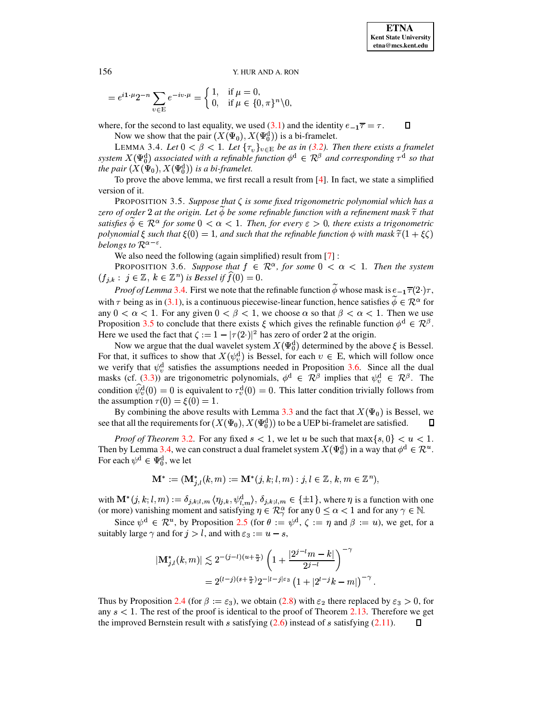<span id="page-18-0"></span>
$$
= e^{i1 \cdot \mu} 2^{-n} \sum_{v \in E} e^{-iv \cdot \mu} = \begin{cases} 1, & \text{if } \mu = 0, \\ 0, & \text{if } \mu \in \{0, \pi\}^n \setminus 0, \end{cases}
$$

where, for the second to last equality, we used (3.1) and the identity  $e_{-1}\overline{\tau} = \tau$ .  $\Box$ Now we show that the pair  $(X(\Psi_0), X(\Psi_0^d))$  is a bi-framelet.

LEMMA 3.4. Let  $0 < \beta < 1$ . Let  $\{\tau_v\}_{v \in E}$  be as in (3.2). Then there exists a framelet system  $X(\Psi_0^d)$  associated with a refinable function  $\phi^d \in \mathcal{R}^{\beta}$  and corresponding  $\tau^d$  so that the pair  $(X(\Psi_0), X(\Psi_0^d))$  is a bi-framelet.

<span id="page-18-1"></span>To prove the above lemma, we first recall a result from  $[4]$ . In fact, we state a simplified version of it.

**PROPOSITION 3.5.** Suppose that  $\zeta$  is some fixed trigonometric polynomial which has a zero of order 2 at the origin. Let  $\phi$  be some refinable function with a refinement mask  $\tilde{\tau}$  that satisfies  $\phi \in \mathbb{R}^{\alpha}$  for some  $0 < \alpha < 1$ . Then, for every  $\varepsilon > 0$ , there exists a trigonometric polynomial  $\xi$  such that  $\xi(0) = 1$ , and such that the refinable function  $\phi$  with mask  $\tilde{\tau}(1 + \xi \zeta)$ belongs to  $\mathcal{R}^{\alpha-\varepsilon}$ .

<span id="page-18-2"></span>We also need the following (again simplified) result from  $[7]$ :

PROPOSITION 3.6. Suppose that  $f \in \mathbb{R}^{\alpha}$ , for some  $0 < \alpha < 1$ . Then the system  $(f_{j,k}: j \in \mathbb{Z}, k \in \mathbb{Z}^n)$  is Bessel if  $f(0) = 0$ .

*Proof of Lemma* 3.4. First we note that the refinable function  $\phi$  whose mask is  $e_{-1}\overline{\tau}(2)\tau$ , with  $\tau$  being as in (3.1), is a continuous piecewise-linear function, hence satisfies  $\phi \in \mathcal{R}^{\alpha}$  for any  $0 < \alpha < 1$ . For any given  $0 < \beta < 1$ , we choose  $\alpha$  so that  $\beta < \alpha < 1$ . Then we use Proposition 3.5 to conclude that there exists  $\xi$  which gives the refinable function  $\phi^d \in \mathbb{R}^{\beta}$ . Here we used the fact that  $\zeta := 1 - |\tau(2\cdot)|^2$  has zero of order 2 at the origin.

Now we argue that the dual wavelet system  $X(\Psi_0^d)$  determined by the above  $\xi$  is Bessel. For that, it suffices to show that  $X(\psi_n^d)$  is Bessel, for each  $v \in E$ , which will follow once we verify that  $\psi_v^d$  satisfies the assumptions needed in Proposition 3.6. Since all the dual masks (cf. (3.3)) are trigonometric polynomials,  $\phi^d \in \mathcal{R}^\beta$  implies that  $\psi_v^d \in \mathcal{R}^\beta$ . The condition  $\hat{\psi}_n^d(0) = 0$  is equivalent to  $\tau_n^d(0) = 0$ . This latter condition trivially follows from the assumption  $\tau(0) = \xi(0) = 1$ .

By combining the above results with Lemma 3.3 and the fact that  $X(\Psi_0)$  is Bessel, we see that all the requirements for  $(X(\Psi_0), X(\Psi_0^d))$  to be a UEP bi-framelet are satisfied.  $\Box$ 

*Proof of Theorem 3.2.* For any fixed  $s < 1$ , we let u be such that  $\max\{s, 0\} < u < 1$ . Then by Lemma 3.4, we can construct a dual framelet system  $X(\Psi_0^d)$  in a way that  $\phi^d \in \mathbb{R}^u$ . For each  $\psi^d \in \Psi_0^d$ , we let

$$
\mathbf{M}^* := (\mathbf{M}^*_{j,l}(k,m) := \mathbf{M}^*(j,k;l,m) : j,l \in \mathbb{Z}, k,m \in \mathbb{Z}^n),
$$

with  $\mathbf{M}^*(j,k;l,m) := \delta_{j,k;l,m} \langle \eta_{j,k}, \psi_{l,m}^d \rangle, \delta_{j,k;l,m} \in \{\pm 1\}$ , where  $\eta$  is a function with one (or more) vanishing moment and satisfying  $\eta \in \mathcal{R}_{\gamma}^{\alpha}$  for any  $0 \leq \alpha < 1$  and for any  $\gamma \in \mathbb{N}$ .

Since  $\psi^d \in \mathcal{R}^u$ , by Proposition 2.5 (for  $\theta := \psi^d$ ,  $\zeta := \eta$  and  $\beta := u$ ), we get, for a suitably large  $\gamma$  and for  $j > l$ , and with  $\varepsilon_3 := u - s$ ,

$$
|\mathbf{M}_{j,l}^{*}(k,m)| \lesssim 2^{-(j-l)(u+\frac{n}{2})} \left(1 + \frac{|2^{j-l}m - k|}{2^{j-l}}\right)^{-\gamma}
$$
  
=  $2^{(l-j)(s+\frac{n}{2})} 2^{-|l-j|\varepsilon_3} (1 + |2^{l-j}k - m|)^{-\gamma}$ .

Thus by Proposition 2.4 (for  $\beta := \varepsilon_3$ ), we obtain (2.8) with  $\varepsilon_2$  there replaced by  $\varepsilon_3 > 0$ , for any  $s < 1$ . The rest of the proof is identical to the proof of Theorem 2.13. Therefore we get the improved Bernstein result with s satisfying  $(2.6)$  instead of s satisfying  $(2.11)$ .  $\Box$